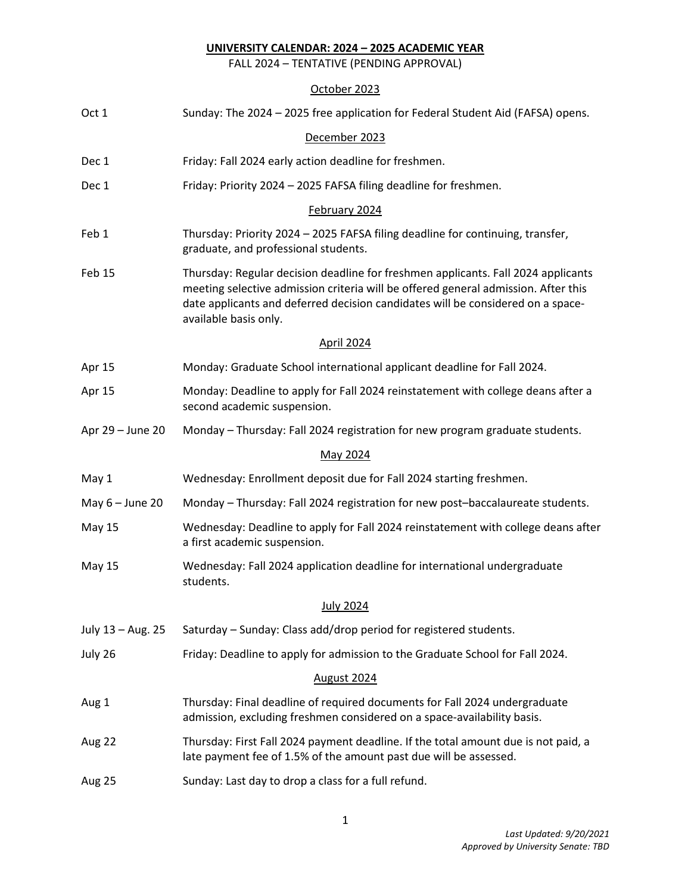FALL 2024 – TENTATIVE (PENDING APPROVAL)

| Oct 1             | Sunday: The 2024 - 2025 free application for Federal Student Aid (FAFSA) opens.                                                                                                                                                                                                     |
|-------------------|-------------------------------------------------------------------------------------------------------------------------------------------------------------------------------------------------------------------------------------------------------------------------------------|
|                   | December 2023                                                                                                                                                                                                                                                                       |
| Dec 1             | Friday: Fall 2024 early action deadline for freshmen.                                                                                                                                                                                                                               |
| Dec 1             | Friday: Priority 2024 - 2025 FAFSA filing deadline for freshmen.                                                                                                                                                                                                                    |
|                   | February 2024                                                                                                                                                                                                                                                                       |
| Feb 1             | Thursday: Priority 2024 - 2025 FAFSA filing deadline for continuing, transfer,<br>graduate, and professional students.                                                                                                                                                              |
| Feb 15            | Thursday: Regular decision deadline for freshmen applicants. Fall 2024 applicants<br>meeting selective admission criteria will be offered general admission. After this<br>date applicants and deferred decision candidates will be considered on a space-<br>available basis only. |
|                   | <b>April 2024</b>                                                                                                                                                                                                                                                                   |
| Apr 15            | Monday: Graduate School international applicant deadline for Fall 2024.                                                                                                                                                                                                             |
| Apr 15            | Monday: Deadline to apply for Fall 2024 reinstatement with college deans after a<br>second academic suspension.                                                                                                                                                                     |
| Apr 29 - June 20  | Monday - Thursday: Fall 2024 registration for new program graduate students.                                                                                                                                                                                                        |
|                   | May 2024                                                                                                                                                                                                                                                                            |
| May 1             | Wednesday: Enrollment deposit due for Fall 2024 starting freshmen.                                                                                                                                                                                                                  |
| May $6 -$ June 20 | Monday - Thursday: Fall 2024 registration for new post-baccalaureate students.                                                                                                                                                                                                      |
| <b>May 15</b>     | Wednesday: Deadline to apply for Fall 2024 reinstatement with college deans after<br>a first academic suspension.                                                                                                                                                                   |
| <b>May 15</b>     | Wednesday: Fall 2024 application deadline for international undergraduate<br>students.                                                                                                                                                                                              |
|                   | <b>July 2024</b>                                                                                                                                                                                                                                                                    |
| July 13 - Aug. 25 | Saturday – Sunday: Class add/drop period for registered students.                                                                                                                                                                                                                   |
| July 26           | Friday: Deadline to apply for admission to the Graduate School for Fall 2024.                                                                                                                                                                                                       |
|                   | August 2024                                                                                                                                                                                                                                                                         |
| Aug 1             | Thursday: Final deadline of required documents for Fall 2024 undergraduate<br>admission, excluding freshmen considered on a space-availability basis.                                                                                                                               |
| Aug 22            | Thursday: First Fall 2024 payment deadline. If the total amount due is not paid, a<br>late payment fee of 1.5% of the amount past due will be assessed.                                                                                                                             |
| Aug 25            | Sunday: Last day to drop a class for a full refund.                                                                                                                                                                                                                                 |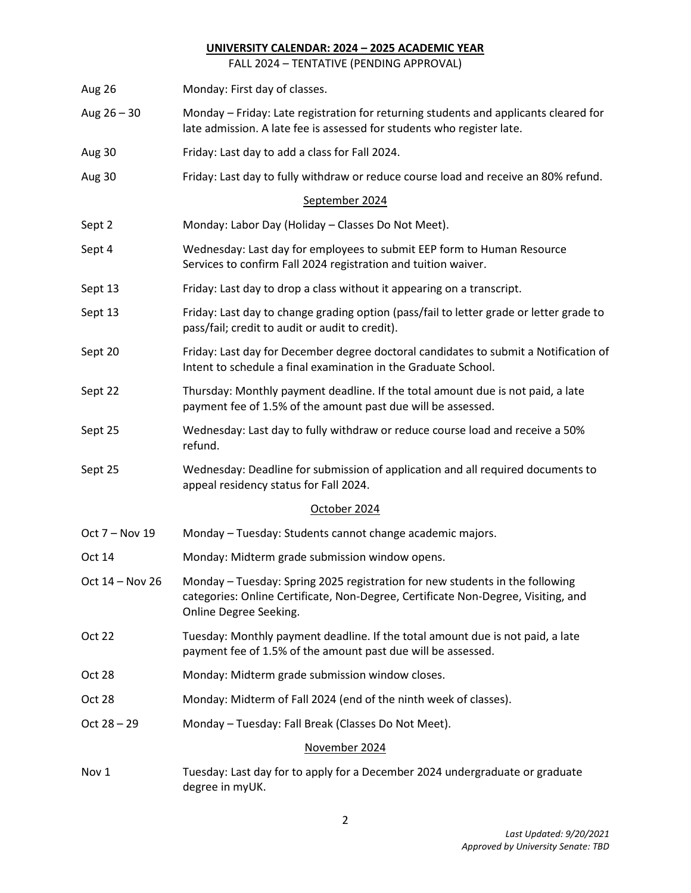FALL 2024 – TENTATIVE (PENDING APPROVAL)

| Aug 26            | Monday: First day of classes.                                                                                                                                                               |
|-------------------|---------------------------------------------------------------------------------------------------------------------------------------------------------------------------------------------|
| Aug $26 - 30$     | Monday – Friday: Late registration for returning students and applicants cleared for<br>late admission. A late fee is assessed for students who register late.                              |
| Aug 30            | Friday: Last day to add a class for Fall 2024.                                                                                                                                              |
| Aug 30            | Friday: Last day to fully withdraw or reduce course load and receive an 80% refund.                                                                                                         |
|                   | September 2024                                                                                                                                                                              |
| Sept 2            | Monday: Labor Day (Holiday - Classes Do Not Meet).                                                                                                                                          |
| Sept 4            | Wednesday: Last day for employees to submit EEP form to Human Resource<br>Services to confirm Fall 2024 registration and tuition waiver.                                                    |
| Sept 13           | Friday: Last day to drop a class without it appearing on a transcript.                                                                                                                      |
| Sept 13           | Friday: Last day to change grading option (pass/fail to letter grade or letter grade to<br>pass/fail; credit to audit or audit to credit).                                                  |
| Sept 20           | Friday: Last day for December degree doctoral candidates to submit a Notification of<br>Intent to schedule a final examination in the Graduate School.                                      |
| Sept 22           | Thursday: Monthly payment deadline. If the total amount due is not paid, a late<br>payment fee of 1.5% of the amount past due will be assessed.                                             |
| Sept 25           | Wednesday: Last day to fully withdraw or reduce course load and receive a 50%<br>refund.                                                                                                    |
| Sept 25           | Wednesday: Deadline for submission of application and all required documents to<br>appeal residency status for Fall 2024.                                                                   |
|                   | October 2024                                                                                                                                                                                |
| Oct 7 - Nov 19    | Monday - Tuesday: Students cannot change academic majors.                                                                                                                                   |
| Oct 14            | Monday: Midterm grade submission window opens.                                                                                                                                              |
| Oct $14 - Nov 26$ | Monday - Tuesday: Spring 2025 registration for new students in the following<br>categories: Online Certificate, Non-Degree, Certificate Non-Degree, Visiting, and<br>Online Degree Seeking. |
| <b>Oct 22</b>     | Tuesday: Monthly payment deadline. If the total amount due is not paid, a late<br>payment fee of 1.5% of the amount past due will be assessed.                                              |
| Oct 28            | Monday: Midterm grade submission window closes.                                                                                                                                             |
| Oct 28            | Monday: Midterm of Fall 2024 (end of the ninth week of classes).                                                                                                                            |
| $Oct 28 - 29$     | Monday - Tuesday: Fall Break (Classes Do Not Meet).                                                                                                                                         |
|                   | November 2024                                                                                                                                                                               |
| Nov 1             | Tuesday: Last day for to apply for a December 2024 undergraduate or graduate<br>degree in myUK.                                                                                             |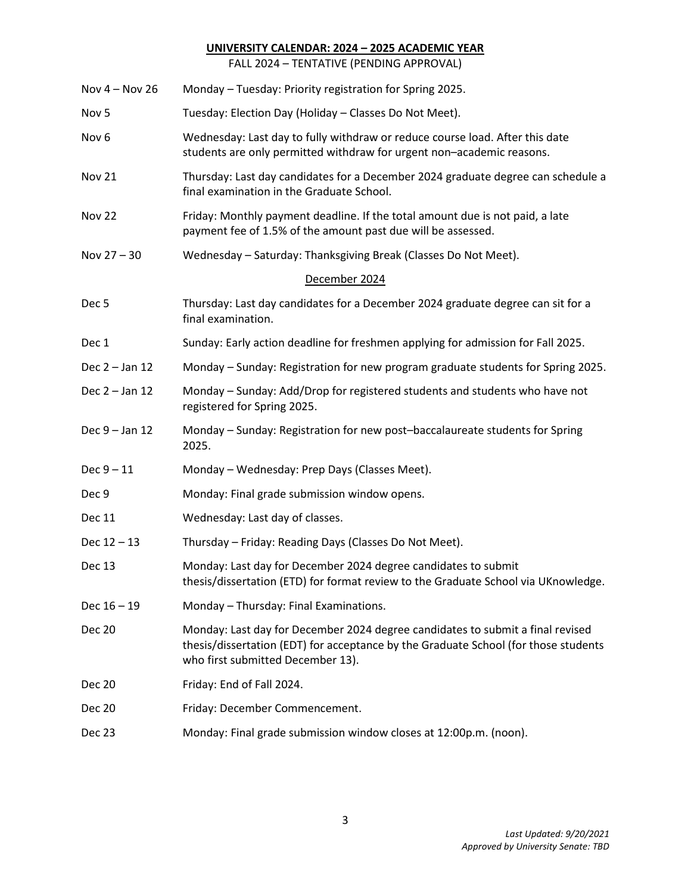FALL 2024 – TENTATIVE (PENDING APPROVAL)

| Nov $4 -$ Nov 26 | Monday - Tuesday: Priority registration for Spring 2025.                                                                                                                                                   |
|------------------|------------------------------------------------------------------------------------------------------------------------------------------------------------------------------------------------------------|
| Nov <sub>5</sub> | Tuesday: Election Day (Holiday - Classes Do Not Meet).                                                                                                                                                     |
| Nov <sub>6</sub> | Wednesday: Last day to fully withdraw or reduce course load. After this date<br>students are only permitted withdraw for urgent non-academic reasons.                                                      |
| <b>Nov 21</b>    | Thursday: Last day candidates for a December 2024 graduate degree can schedule a<br>final examination in the Graduate School.                                                                              |
| Nov 22           | Friday: Monthly payment deadline. If the total amount due is not paid, a late<br>payment fee of 1.5% of the amount past due will be assessed.                                                              |
| Nov 27 - 30      | Wednesday - Saturday: Thanksgiving Break (Classes Do Not Meet).                                                                                                                                            |
|                  | December 2024                                                                                                                                                                                              |
| Dec <sub>5</sub> | Thursday: Last day candidates for a December 2024 graduate degree can sit for a<br>final examination.                                                                                                      |
| Dec 1            | Sunday: Early action deadline for freshmen applying for admission for Fall 2025.                                                                                                                           |
| Dec 2 - Jan 12   | Monday - Sunday: Registration for new program graduate students for Spring 2025.                                                                                                                           |
| Dec 2 - Jan 12   | Monday - Sunday: Add/Drop for registered students and students who have not<br>registered for Spring 2025.                                                                                                 |
| Dec 9 - Jan 12   | Monday - Sunday: Registration for new post-baccalaureate students for Spring<br>2025.                                                                                                                      |
| $Dec 9 - 11$     | Monday - Wednesday: Prep Days (Classes Meet).                                                                                                                                                              |
| Dec 9            | Monday: Final grade submission window opens.                                                                                                                                                               |
| Dec 11           | Wednesday: Last day of classes.                                                                                                                                                                            |
| $Dec 12 - 13$    | Thursday - Friday: Reading Days (Classes Do Not Meet).                                                                                                                                                     |
| Dec 13           | Monday: Last day for December 2024 degree candidates to submit<br>thesis/dissertation (ETD) for format review to the Graduate School via UKnowledge.                                                       |
| $Dec 16 - 19$    | Monday - Thursday: Final Examinations.                                                                                                                                                                     |
| <b>Dec 20</b>    | Monday: Last day for December 2024 degree candidates to submit a final revised<br>thesis/dissertation (EDT) for acceptance by the Graduate School (for those students<br>who first submitted December 13). |
| <b>Dec 20</b>    | Friday: End of Fall 2024.                                                                                                                                                                                  |
| <b>Dec 20</b>    | Friday: December Commencement.                                                                                                                                                                             |
| Dec 23           | Monday: Final grade submission window closes at 12:00p.m. (noon).                                                                                                                                          |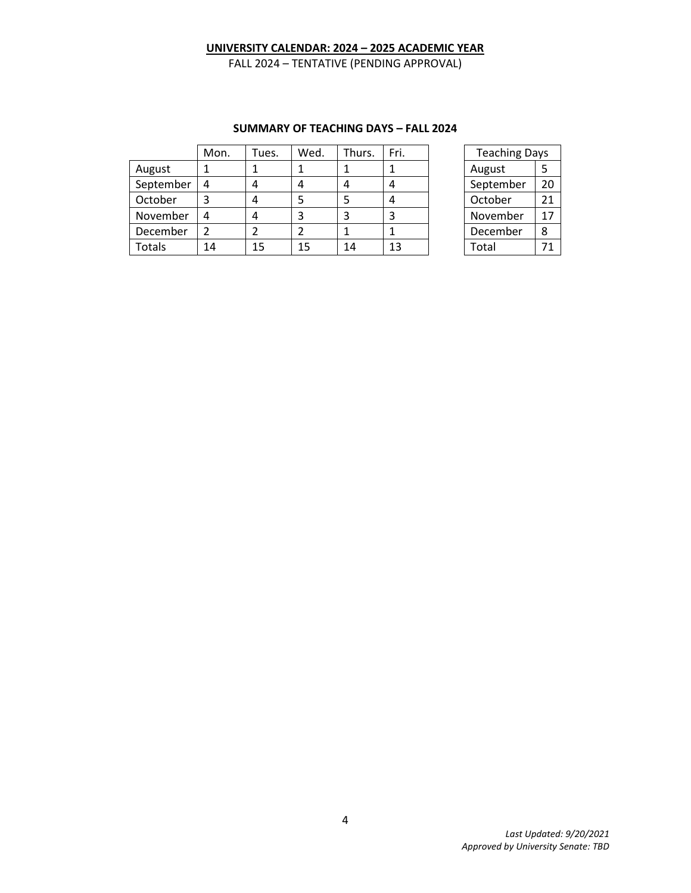FALL 2024 – TENTATIVE (PENDING APPROVAL)

|           | Mon. | Tues. | Wed. | Thurs. | Fri. | <b>Teaching Days</b> |    |
|-----------|------|-------|------|--------|------|----------------------|----|
| August    |      |       |      |        |      | August               |    |
| September |      | 4     | 4    | 4      | 4    | September            | 20 |
| October   |      |       |      |        |      | October              | 21 |
| November  |      | 4     | 3    | 3      | 3    | November             | 17 |
| December  |      | າ     |      |        |      | December             | 8  |
| Totals    | 14   | 15    | 15   | 14     | 13   | Total                | 71 |

#### **SUMMARY OF TEACHING DAYS – FALL 2024**

| <b>Teaching Days</b> |    |  |  |  |
|----------------------|----|--|--|--|
| August               | 5  |  |  |  |
| September            | 20 |  |  |  |
| October              | 21 |  |  |  |
| November             | 17 |  |  |  |
| December             | 8  |  |  |  |
| Total                | 71 |  |  |  |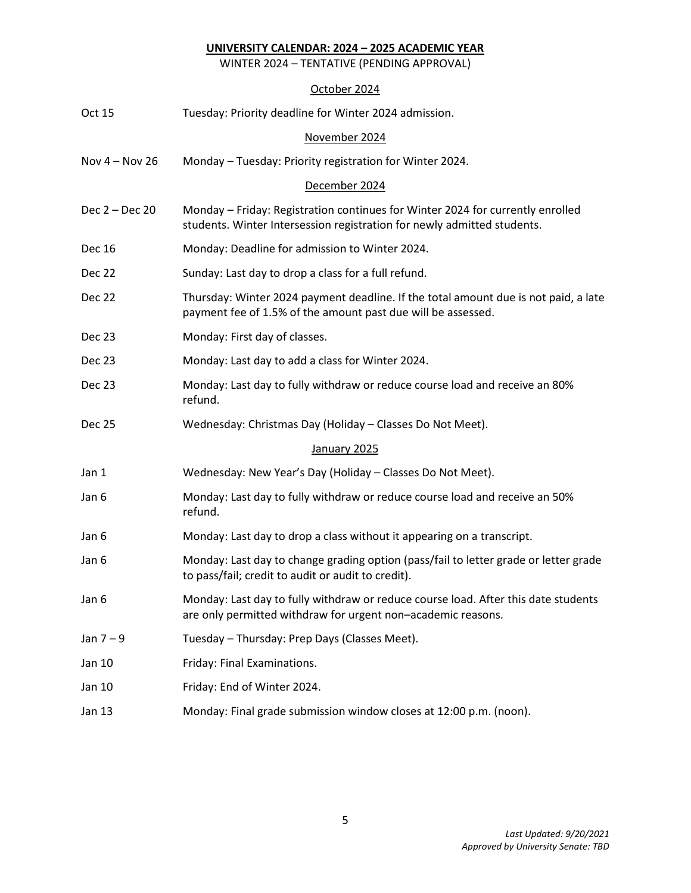WINTER 2024 – TENTATIVE (PENDING APPROVAL)

| Oct 15           | Tuesday: Priority deadline for Winter 2024 admission.                                                                                                     |  |  |  |  |
|------------------|-----------------------------------------------------------------------------------------------------------------------------------------------------------|--|--|--|--|
|                  | November 2024                                                                                                                                             |  |  |  |  |
| Nov $4 -$ Nov 26 | Monday - Tuesday: Priority registration for Winter 2024.                                                                                                  |  |  |  |  |
|                  | December 2024                                                                                                                                             |  |  |  |  |
| Dec 2 - Dec 20   | Monday - Friday: Registration continues for Winter 2024 for currently enrolled<br>students. Winter Intersession registration for newly admitted students. |  |  |  |  |
| <b>Dec 16</b>    | Monday: Deadline for admission to Winter 2024.                                                                                                            |  |  |  |  |
| Dec 22           | Sunday: Last day to drop a class for a full refund.                                                                                                       |  |  |  |  |
| Dec 22           | Thursday: Winter 2024 payment deadline. If the total amount due is not paid, a late<br>payment fee of 1.5% of the amount past due will be assessed.       |  |  |  |  |
| Dec 23           | Monday: First day of classes.                                                                                                                             |  |  |  |  |
| Dec 23           | Monday: Last day to add a class for Winter 2024.                                                                                                          |  |  |  |  |
| Dec 23           | Monday: Last day to fully withdraw or reduce course load and receive an 80%<br>refund.                                                                    |  |  |  |  |
| <b>Dec 25</b>    | Wednesday: Christmas Day (Holiday - Classes Do Not Meet).                                                                                                 |  |  |  |  |
|                  | January 2025                                                                                                                                              |  |  |  |  |
| Jan 1            | Wednesday: New Year's Day (Holiday - Classes Do Not Meet).                                                                                                |  |  |  |  |
| Jan 6            | Monday: Last day to fully withdraw or reduce course load and receive an 50%<br>refund.                                                                    |  |  |  |  |
| Jan 6            | Monday: Last day to drop a class without it appearing on a transcript.                                                                                    |  |  |  |  |
| Jan 6            | Monday: Last day to change grading option (pass/fail to letter grade or letter grade<br>to pass/fail; credit to audit or audit to credit).                |  |  |  |  |
| Jan 6            | Monday: Last day to fully withdraw or reduce course load. After this date students<br>are only permitted withdraw for urgent non-academic reasons.        |  |  |  |  |
| Jan $7-9$        | Tuesday - Thursday: Prep Days (Classes Meet).                                                                                                             |  |  |  |  |
| Jan 10           | Friday: Final Examinations.                                                                                                                               |  |  |  |  |
| Jan 10           | Friday: End of Winter 2024.                                                                                                                               |  |  |  |  |
| <b>Jan 13</b>    | Monday: Final grade submission window closes at 12:00 p.m. (noon).                                                                                        |  |  |  |  |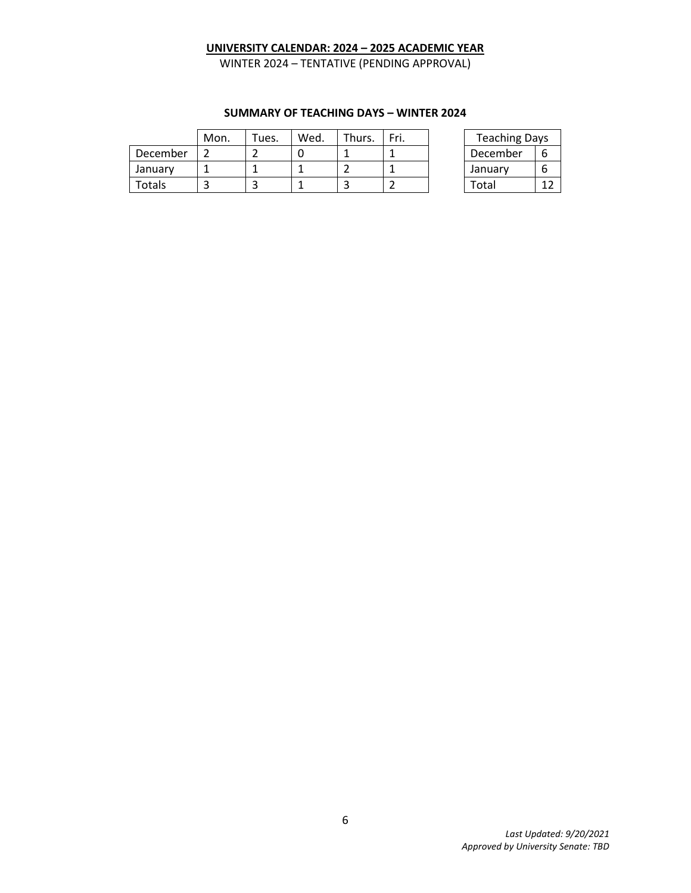WINTER 2024 – TENTATIVE (PENDING APPROVAL)

|          | Mon. | $\tau$ ues. | Wed. | Thurs. | Fri. | <b>Teaching Days</b> |             |
|----------|------|-------------|------|--------|------|----------------------|-------------|
| December |      |             |      |        |      | December             |             |
| January  |      |             |      |        |      | January              |             |
| Totals   |      |             |      |        |      | Total                | $1^{\circ}$ |

## **SUMMARY OF TEACHING DAYS – WINTER 2024**

| <b>Teaching Days</b> |   |  |  |  |  |
|----------------------|---|--|--|--|--|
| December             | 6 |  |  |  |  |
| January              | 6 |  |  |  |  |
| Total                |   |  |  |  |  |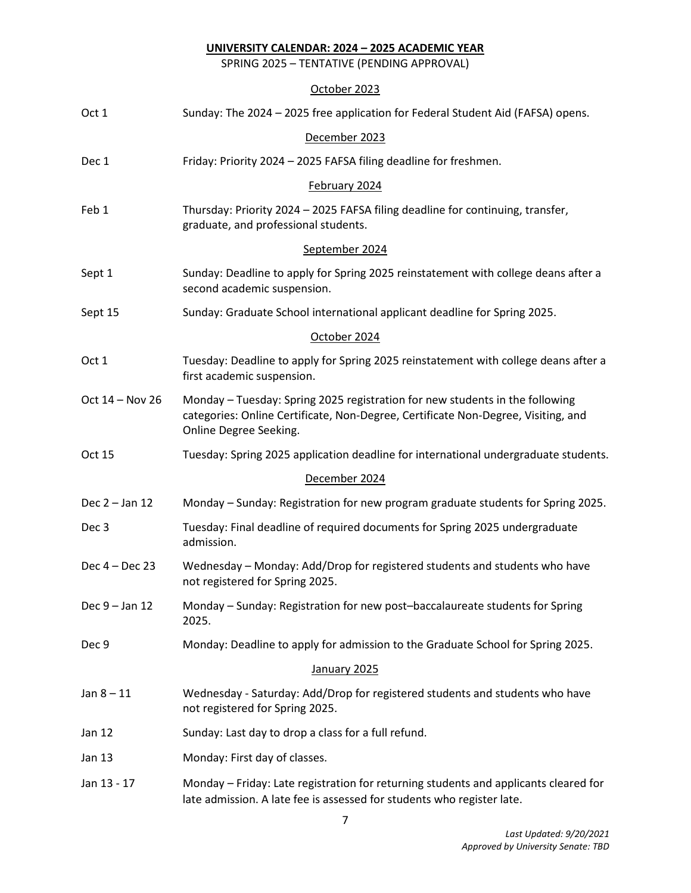SPRING 2025 – TENTATIVE (PENDING APPROVAL)

| Oct 1            | Sunday: The 2024 - 2025 free application for Federal Student Aid (FAFSA) opens.                                                                                                             |
|------------------|---------------------------------------------------------------------------------------------------------------------------------------------------------------------------------------------|
|                  | December 2023                                                                                                                                                                               |
| Dec 1            | Friday: Priority 2024 - 2025 FAFSA filing deadline for freshmen.                                                                                                                            |
|                  | February 2024                                                                                                                                                                               |
| Feb 1            | Thursday: Priority 2024 - 2025 FAFSA filing deadline for continuing, transfer,<br>graduate, and professional students.                                                                      |
|                  | September 2024                                                                                                                                                                              |
| Sept 1           | Sunday: Deadline to apply for Spring 2025 reinstatement with college deans after a<br>second academic suspension.                                                                           |
| Sept 15          | Sunday: Graduate School international applicant deadline for Spring 2025.                                                                                                                   |
|                  | October 2024                                                                                                                                                                                |
| Oct 1            | Tuesday: Deadline to apply for Spring 2025 reinstatement with college deans after a<br>first academic suspension.                                                                           |
| Oct 14 - Nov 26  | Monday - Tuesday: Spring 2025 registration for new students in the following<br>categories: Online Certificate, Non-Degree, Certificate Non-Degree, Visiting, and<br>Online Degree Seeking. |
| Oct 15           | Tuesday: Spring 2025 application deadline for international undergraduate students.                                                                                                         |
|                  | December 2024                                                                                                                                                                               |
| Dec 2 - Jan 12   | Monday - Sunday: Registration for new program graduate students for Spring 2025.                                                                                                            |
| Dec 3            | Tuesday: Final deadline of required documents for Spring 2025 undergraduate<br>admission.                                                                                                   |
| Dec 4 - Dec 23   | Wednesday - Monday: Add/Drop for registered students and students who have<br>not registered for Spring 2025.                                                                               |
| Dec $9 -$ Jan 12 | Monday - Sunday: Registration for new post-baccalaureate students for Spring<br>2025.                                                                                                       |
| Dec 9            | Monday: Deadline to apply for admission to the Graduate School for Spring 2025.                                                                                                             |
|                  | January 2025                                                                                                                                                                                |
| $Jan 8 - 11$     | Wednesday - Saturday: Add/Drop for registered students and students who have<br>not registered for Spring 2025.                                                                             |
| <b>Jan 12</b>    | Sunday: Last day to drop a class for a full refund.                                                                                                                                         |
| Jan 13           | Monday: First day of classes.                                                                                                                                                               |
| Jan 13 - 17      | Monday – Friday: Late registration for returning students and applicants cleared for<br>late admission. A late fee is assessed for students who register late.                              |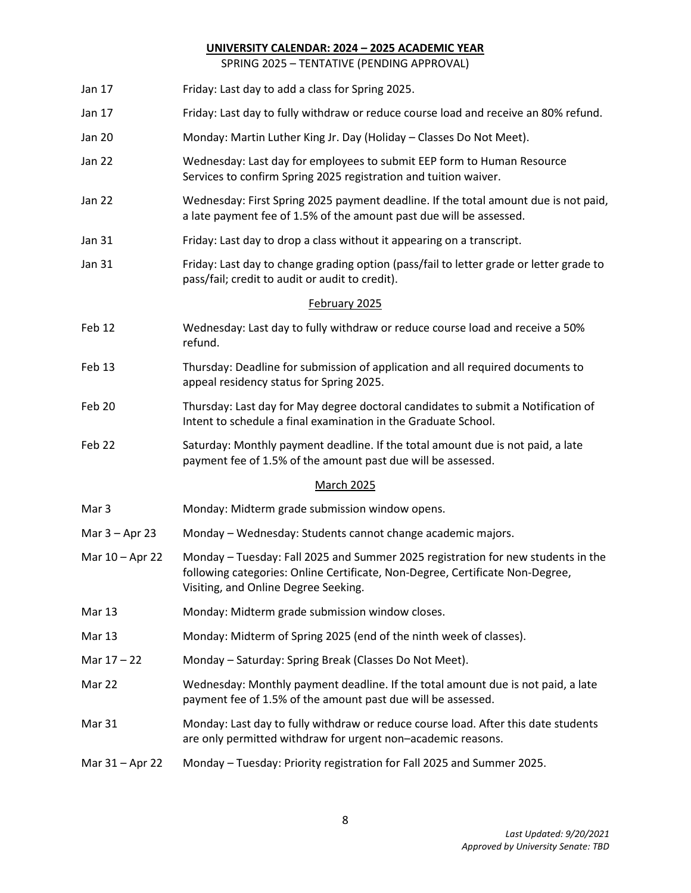SPRING 2025 – TENTATIVE (PENDING APPROVAL)

- Jan 17 Friday: Last day to add a class for Spring 2025.
- Jan 17 Friday: Last day to fully withdraw or reduce course load and receive an 80% refund.
- Jan 20 Monday: Martin Luther King Jr. Day (Holiday Classes Do Not Meet).
- Jan 22 Wednesday: Last day for employees to submit EEP form to Human Resource Services to confirm Spring 2025 registration and tuition waiver.
- Jan 22 Wednesday: First Spring 2025 payment deadline. If the total amount due is not paid, a late payment fee of 1.5% of the amount past due will be assessed.
- Jan 31 Friday: Last day to drop a class without it appearing on a transcript.
- Jan 31 Friday: Last day to change grading option (pass/fail to letter grade or letter grade to pass/fail; credit to audit or audit to credit).

#### February 2025

- Feb 12 Wednesday: Last day to fully withdraw or reduce course load and receive a 50% refund.
- Feb 13 Thursday: Deadline for submission of application and all required documents to appeal residency status for Spring 2025.
- Feb 20 Thursday: Last day for May degree doctoral candidates to submit a Notification of Intent to schedule a final examination in the Graduate School.
- Feb 22 Saturday: Monthly payment deadline. If the total amount due is not paid, a late payment fee of 1.5% of the amount past due will be assessed.

#### March 2025

- Mar 3 Monday: Midterm grade submission window opens.
- Mar 3 Apr 23 Monday Wednesday: Students cannot change academic majors.
- Mar 10 Apr 22 Monday Tuesday: Fall 2025 and Summer 2025 registration for new students in the following categories: Online Certificate, Non-Degree, Certificate Non-Degree, Visiting, and Online Degree Seeking.
- Mar 13 Monday: Midterm grade submission window closes.
- Mar 13 Monday: Midterm of Spring 2025 (end of the ninth week of classes).
- Mar 17 22 Monday Saturday: Spring Break (Classes Do Not Meet).
- Mar 22 Wednesday: Monthly payment deadline. If the total amount due is not paid, a late payment fee of 1.5% of the amount past due will be assessed.
- Mar 31 Monday: Last day to fully withdraw or reduce course load. After this date students are only permitted withdraw for urgent non–academic reasons.
- Mar 31 Apr 22 Monday Tuesday: Priority registration for Fall 2025 and Summer 2025.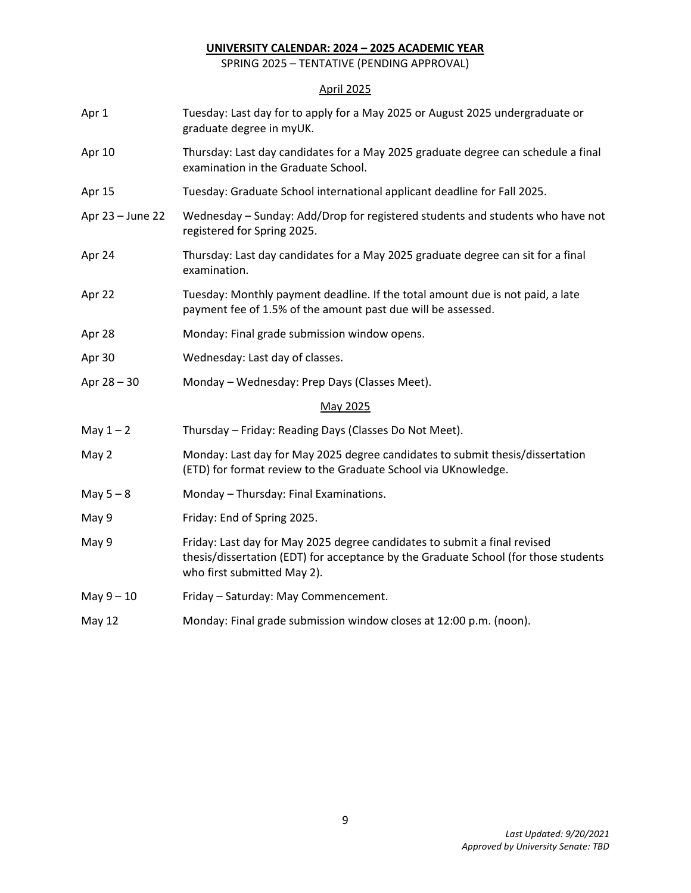SPRING 2025 – TENTATIVE (PENDING APPROVAL)

# April 2025

| Apr 1            | Tuesday: Last day for to apply for a May 2025 or August 2025 undergraduate or<br>graduate degree in myUK.                                                                                       |
|------------------|-------------------------------------------------------------------------------------------------------------------------------------------------------------------------------------------------|
| Apr 10           | Thursday: Last day candidates for a May 2025 graduate degree can schedule a final<br>examination in the Graduate School.                                                                        |
| Apr 15           | Tuesday: Graduate School international applicant deadline for Fall 2025.                                                                                                                        |
| Apr 23 - June 22 | Wednesday - Sunday: Add/Drop for registered students and students who have not<br>registered for Spring 2025.                                                                                   |
| Apr 24           | Thursday: Last day candidates for a May 2025 graduate degree can sit for a final<br>examination.                                                                                                |
| Apr 22           | Tuesday: Monthly payment deadline. If the total amount due is not paid, a late<br>payment fee of 1.5% of the amount past due will be assessed.                                                  |
| Apr 28           | Monday: Final grade submission window opens.                                                                                                                                                    |
| Apr 30           | Wednesday: Last day of classes.                                                                                                                                                                 |
| Apr $28 - 30$    | Monday - Wednesday: Prep Days (Classes Meet).                                                                                                                                                   |
|                  | May 2025                                                                                                                                                                                        |
| May $1 - 2$      | Thursday - Friday: Reading Days (Classes Do Not Meet).                                                                                                                                          |
| May 2            | Monday: Last day for May 2025 degree candidates to submit thesis/dissertation<br>(ETD) for format review to the Graduate School via UKnowledge.                                                 |
| May $5-8$        | Monday - Thursday: Final Examinations.                                                                                                                                                          |
| May 9            | Friday: End of Spring 2025.                                                                                                                                                                     |
| May 9            | Friday: Last day for May 2025 degree candidates to submit a final revised<br>thesis/dissertation (EDT) for acceptance by the Graduate School (for those students<br>who first submitted May 2). |
| May $9-10$       | Friday - Saturday: May Commencement.                                                                                                                                                            |
| May 12           | Monday: Final grade submission window closes at 12:00 p.m. (noon).                                                                                                                              |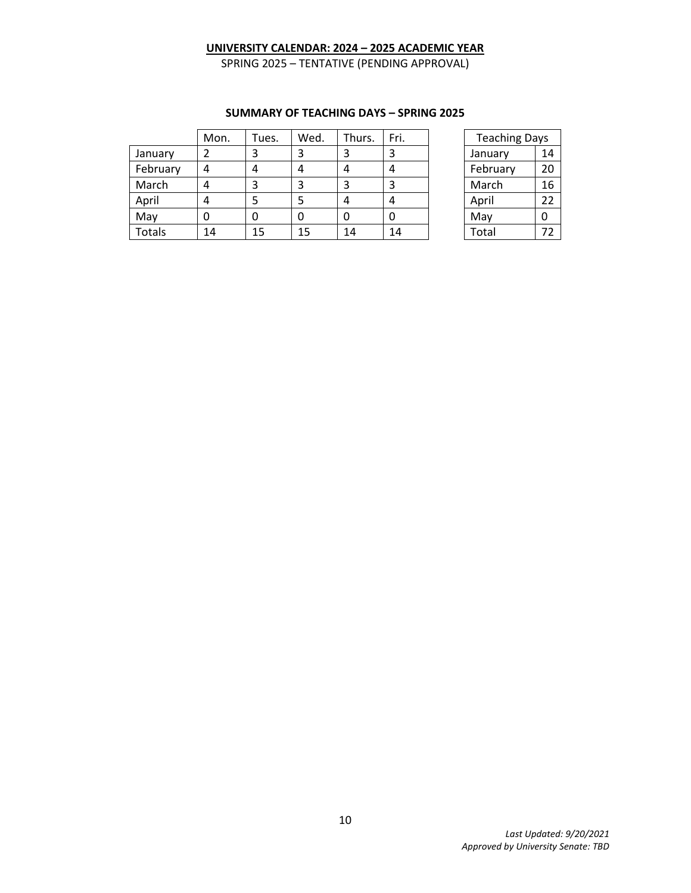SPRING 2025 – TENTATIVE (PENDING APPROVAL)

|          | Mon. | Tues. | Wed. | Thurs. | Fri. | <b>Teaching Days</b> |    |
|----------|------|-------|------|--------|------|----------------------|----|
| January  |      | 3     | 3    | 3      | 3    | January              | 14 |
| February |      | 4     | 4    | 4      | 4    | February             | 20 |
| March    | 4    | 3     | 3    | 3      | 3    | March                | 16 |
| April    |      | 5     | 5    | 4      | 4    | April                | 22 |
| May      |      | 0     | 0    | 0      | 0    | May                  |    |
| Totals   | 14   | 15    | 15   | 14     | 14   | Total                | 72 |

## **SUMMARY OF TEACHING DAYS – SPRING 2025**

| <b>Teaching Days</b> |    |  |  |  |  |
|----------------------|----|--|--|--|--|
| January              | 14 |  |  |  |  |
| February             | 20 |  |  |  |  |
| March                | 16 |  |  |  |  |
| April                | 22 |  |  |  |  |
| May                  | ი  |  |  |  |  |
| Total                | 72 |  |  |  |  |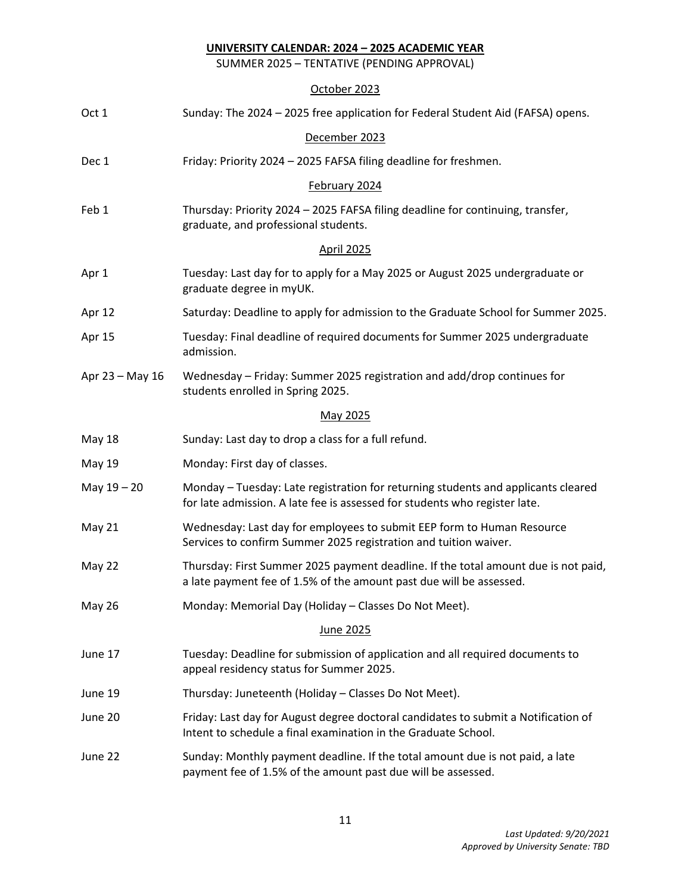SUMMER 2025 – TENTATIVE (PENDING APPROVAL)

| Oct 1           | Sunday: The 2024 - 2025 free application for Federal Student Aid (FAFSA) opens.                                                                                 |  |  |  |  |  |  |
|-----------------|-----------------------------------------------------------------------------------------------------------------------------------------------------------------|--|--|--|--|--|--|
| December 2023   |                                                                                                                                                                 |  |  |  |  |  |  |
| Dec 1           | Friday: Priority 2024 - 2025 FAFSA filing deadline for freshmen.                                                                                                |  |  |  |  |  |  |
| February 2024   |                                                                                                                                                                 |  |  |  |  |  |  |
| Feb 1           | Thursday: Priority 2024 - 2025 FAFSA filing deadline for continuing, transfer,<br>graduate, and professional students.                                          |  |  |  |  |  |  |
| April 2025      |                                                                                                                                                                 |  |  |  |  |  |  |
| Apr 1           | Tuesday: Last day for to apply for a May 2025 or August 2025 undergraduate or<br>graduate degree in myUK.                                                       |  |  |  |  |  |  |
| Apr 12          | Saturday: Deadline to apply for admission to the Graduate School for Summer 2025.                                                                               |  |  |  |  |  |  |
| Apr 15          | Tuesday: Final deadline of required documents for Summer 2025 undergraduate<br>admission.                                                                       |  |  |  |  |  |  |
| Apr 23 - May 16 | Wednesday - Friday: Summer 2025 registration and add/drop continues for<br>students enrolled in Spring 2025.                                                    |  |  |  |  |  |  |
| May 2025        |                                                                                                                                                                 |  |  |  |  |  |  |
| May 18          | Sunday: Last day to drop a class for a full refund.                                                                                                             |  |  |  |  |  |  |
| <b>May 19</b>   | Monday: First day of classes.                                                                                                                                   |  |  |  |  |  |  |
| May 19 - 20     | Monday - Tuesday: Late registration for returning students and applicants cleared<br>for late admission. A late fee is assessed for students who register late. |  |  |  |  |  |  |
| <b>May 21</b>   | Wednesday: Last day for employees to submit EEP form to Human Resource<br>Services to confirm Summer 2025 registration and tuition waiver.                      |  |  |  |  |  |  |
| May 22          | Thursday: First Summer 2025 payment deadline. If the total amount due is not paid,<br>a late payment fee of 1.5% of the amount past due will be assessed.       |  |  |  |  |  |  |
| May 26          | Monday: Memorial Day (Holiday - Classes Do Not Meet).                                                                                                           |  |  |  |  |  |  |
| June 2025       |                                                                                                                                                                 |  |  |  |  |  |  |
| June 17         | Tuesday: Deadline for submission of application and all required documents to<br>appeal residency status for Summer 2025.                                       |  |  |  |  |  |  |
| June 19         | Thursday: Juneteenth (Holiday - Classes Do Not Meet).                                                                                                           |  |  |  |  |  |  |
| June 20         | Friday: Last day for August degree doctoral candidates to submit a Notification of<br>Intent to schedule a final examination in the Graduate School.            |  |  |  |  |  |  |
| June 22         | Sunday: Monthly payment deadline. If the total amount due is not paid, a late<br>payment fee of 1.5% of the amount past due will be assessed.                   |  |  |  |  |  |  |